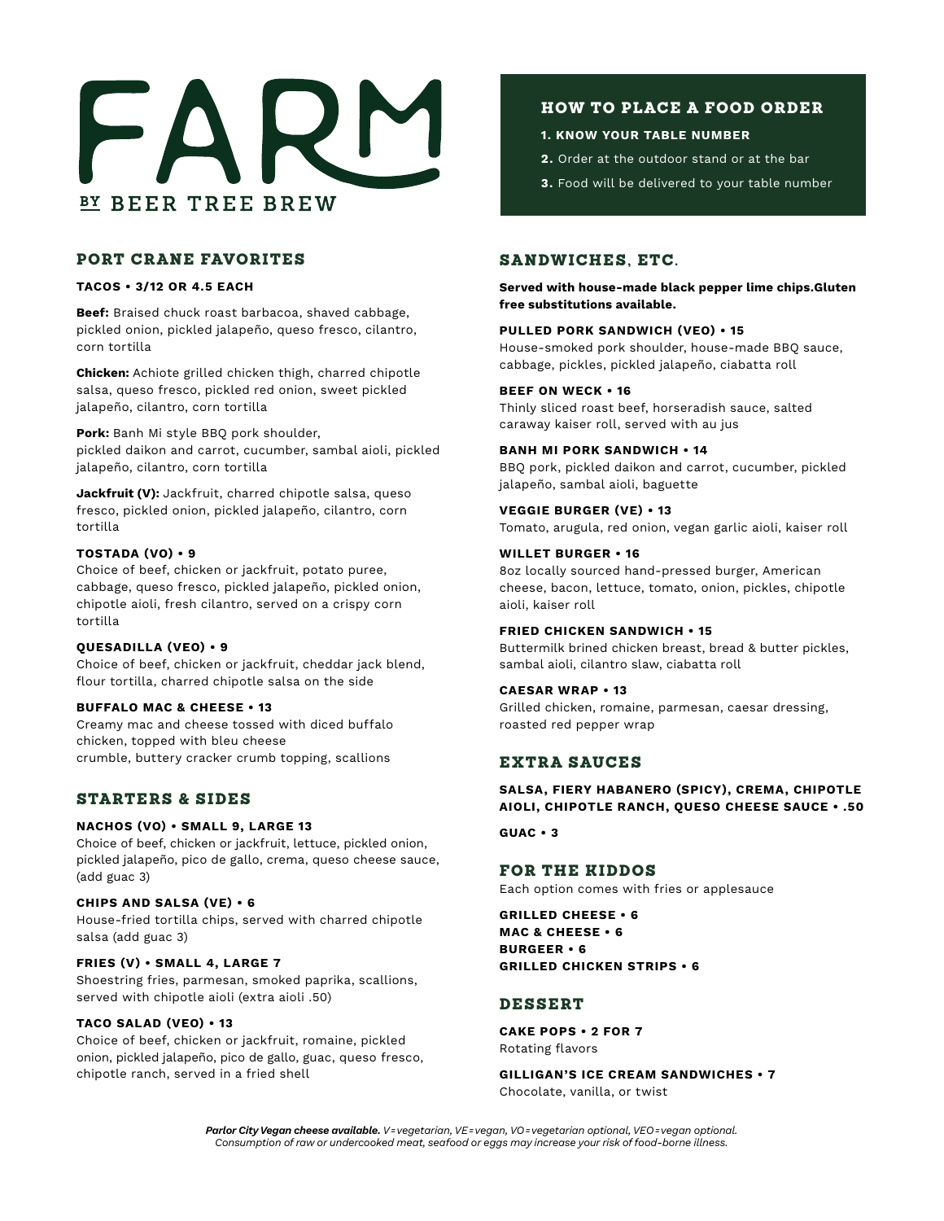

# PORT CRANE FAVORITES

## **TACOS • 3/12 OR 4.5 EACH**

**Beef:** Braised chuck roast barbacoa, shaved cabbage, pickled onion, pickled jalapeño, queso fresco, cilantro, corn tortilla

**Chicken:** Achiote grilled chicken thigh, charred chipotle salsa, queso fresco, pickled red onion, sweet pickled jalapeño, cilantro, corn tortilla

**Pork:** Banh Mi style BBQ pork shoulder, pickled daikon and carrot, cucumber, sambal aioli, pickled jalapeño, cilantro, corn tortilla

**Jackfruit (V):** Jackfruit, charred chipotle salsa, queso fresco, pickled onion, pickled jalapeño, cilantro, corn tortilla

# **TOSTADA (VO) • 9**

Choice of beef, chicken or jackfruit, potato puree, cabbage, queso fresco, pickled jalapeño, pickled onion, chipotle aioli, fresh cilantro, served on a crispy corn tortilla

#### **QUESADILLA (VEO) • 9**

Choice of beef, chicken or jackfruit, cheddar jack blend, flour tortilla, charred chipotle salsa on the side

#### **BUFFALO MAC & CHEESE • 13**

Creamy mac and cheese tossed with diced buffalo chicken, topped with bleu cheese crumble, buttery cracker crumb topping, scallions

# STARTERS & SIDES

# **NACHOS (VO) • SMALL 9, LARGE 13**

Choice of beef, chicken or jackfruit, lettuce, pickled onion, pickled jalapeño, pico de gallo, crema, queso cheese sauce, (add guac 3)

#### **CHIPS AND SALSA (VE) • 6**

House-fried tortilla chips, served with charred chipotle salsa (add guac 3)

#### **FRIES (V) • SMALL 4, LARGE 7**

Shoestring fries, parmesan, smoked paprika, scallions, served with chipotle aioli (extra aioli .50)

#### **TACO SALAD (VEO) • 13**

Choice of beef, chicken or jackfruit, romaine, pickled onion, pickled jalapeño, pico de gallo, guac, queso fresco, chipotle ranch, served in a fried shell

# HOW TO PLACE A FOOD ORDER

## **1. KNOW YOUR TABLE NUMBER**

- **2.** Order at the outdoor stand or at the bar
- **3.** Food will be delivered to your table number

# SANDWICHES, ETC.

**Served with house-made black pepper lime chips.Gluten free substitutions available.**

## **PULLED PORK SANDWICH (VEO) • 15**

House-smoked pork shoulder, house-made BBQ sauce, cabbage, pickles, pickled jalapeño, ciabatta roll

## **BEEF ON WECK • 16**

Thinly sliced roast beef, horseradish sauce, salted caraway kaiser roll, served with au jus

# **BANH MI PORK SANDWICH • 14**

BBQ pork, pickled daikon and carrot, cucumber, pickled jalapeño, sambal aioli, baguette

# **VEGGIE BURGER (VE) • 13** Tomato, arugula, red onion, vegan garlic aioli, kaiser roll

**WILLET BURGER • 16** 8oz locally sourced hand-pressed burger, American cheese, bacon, lettuce, tomato, onion, pickles, chipotle aioli, kaiser roll

#### **FRIED CHICKEN SANDWICH • 15**

Buttermilk brined chicken breast, bread & butter pickles, sambal aioli, cilantro slaw, ciabatta roll

#### **CAESAR WRAP • 13**

Grilled chicken, romaine, parmesan, caesar dressing, roasted red pepper wrap

# EXTRA SAUCES

# **SALSA, FIERY HABANERO (SPICY), CREMA, CHIPOTLE AIOLI, CHIPOTLE RANCH, QUESO CHEESE SAUCE • .50**

## **GUAC • 3**

# FOR THE KIDDOS

Each option comes with fries or applesauce

**GRILLED CHEESE • 6 MAC & CHEESE • 6 BURGEER • 6 GRILLED CHICKEN STRIPS • 6**

# DESSERT

**CAKE POPS • 2 FOR 7** Rotating flavors

**GILLIGAN'S ICE CREAM SANDWICHES • 7** Chocolate, vanilla, or twist

*Parlor City Vegan cheese available. V= vegetarian, VE= vegan, VO= vegetarian optional, VEO= vegan optional. Consumption of raw or undercooked meat, seafood or eggs may increase your risk of food-borne illness.*